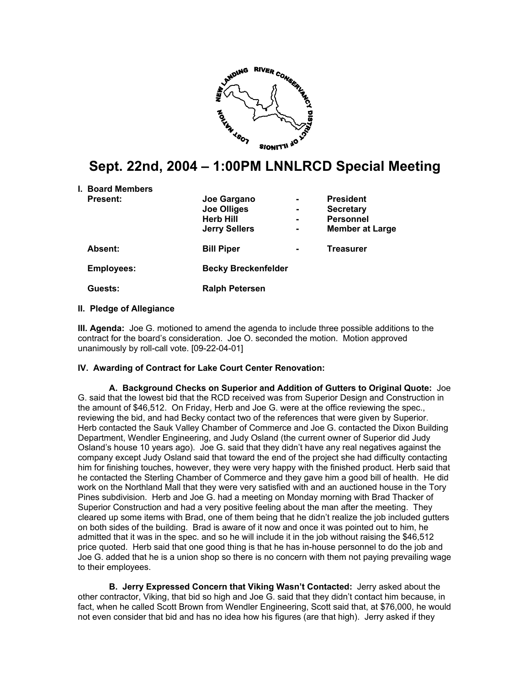

# **Sept. 22nd, 2004 – 1:00PM LNNLRCD Special Meeting**

| <b>I. Board Members</b> |                            |   |                        |
|-------------------------|----------------------------|---|------------------------|
| <b>Present:</b>         | Joe Gargano                | - | <b>President</b>       |
|                         | <b>Joe Olliges</b>         | ۰ | <b>Secretary</b>       |
|                         | <b>Herb Hill</b>           |   | <b>Personnel</b>       |
|                         | <b>Jerry Sellers</b>       | - | <b>Member at Large</b> |
| <b>Absent:</b>          | <b>Bill Piper</b>          |   | <b>Treasurer</b>       |
| <b>Employees:</b>       | <b>Becky Breckenfelder</b> |   |                        |
| Guests:                 | <b>Ralph Petersen</b>      |   |                        |

#### **II. Pledge of Allegiance**

**III. Agenda:** Joe G. motioned to amend the agenda to include three possible additions to the contract for the board's consideration. Joe O. seconded the motion. Motion approved unanimously by roll-call vote. [09-22-04-01]

#### **IV. Awarding of Contract for Lake Court Center Renovation:**

**A. Background Checks on Superior and Addition of Gutters to Original Quote:** Joe G. said that the lowest bid that the RCD received was from Superior Design and Construction in the amount of \$46,512. On Friday, Herb and Joe G. were at the office reviewing the spec., reviewing the bid, and had Becky contact two of the references that were given by Superior. Herb contacted the Sauk Valley Chamber of Commerce and Joe G. contacted the Dixon Building Department, Wendler Engineering, and Judy Osland (the current owner of Superior did Judy Osland's house 10 years ago). Joe G. said that they didn't have any real negatives against the company except Judy Osland said that toward the end of the project she had difficulty contacting him for finishing touches, however, they were very happy with the finished product. Herb said that he contacted the Sterling Chamber of Commerce and they gave him a good bill of health. He did work on the Northland Mall that they were very satisfied with and an auctioned house in the Tory Pines subdivision. Herb and Joe G. had a meeting on Monday morning with Brad Thacker of Superior Construction and had a very positive feeling about the man after the meeting. They cleared up some items with Brad, one of them being that he didn't realize the job included gutters on both sides of the building. Brad is aware of it now and once it was pointed out to him, he admitted that it was in the spec. and so he will include it in the job without raising the \$46,512 price quoted. Herb said that one good thing is that he has in-house personnel to do the job and Joe G. added that he is a union shop so there is no concern with them not paying prevailing wage to their employees.

**B. Jerry Expressed Concern that Viking Wasn't Contacted:** Jerry asked about the other contractor, Viking, that bid so high and Joe G. said that they didn't contact him because, in fact, when he called Scott Brown from Wendler Engineering, Scott said that, at \$76,000, he would not even consider that bid and has no idea how his figures (are that high). Jerry asked if they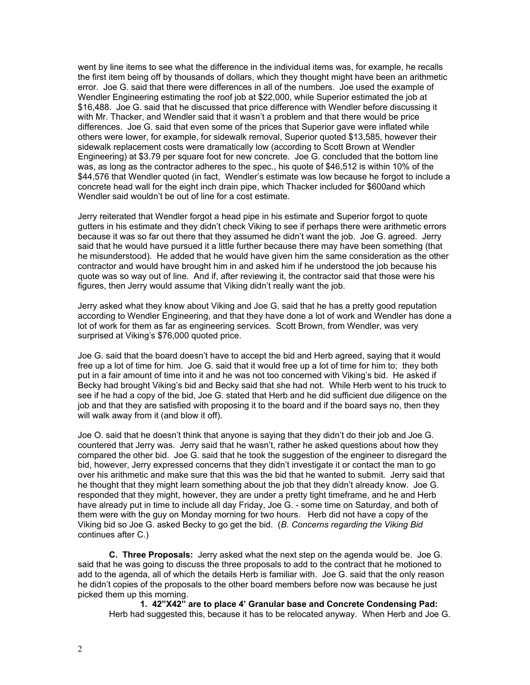went by line items to see what the difference in the individual items was, for example, he recalls the first item being off by thousands of dollars, which they thought might have been an arithmetic error. Joe G. said that there were differences in all of the numbers. Joe used the example of Wendler Engineering estimating the roof job at \$22,000, while Superior estimated the job at \$16,488. Joe G. said that he discussed that price difference with Wendler before discussing it with Mr. Thacker, and Wendler said that it wasn't a problem and that there would be price differences. Joe G. said that even some of the prices that Superior gave were inflated while others were lower, for example, for sidewalk removal, Superior quoted \$13,585, however their sidewalk replacement costs were dramatically low (according to Scott Brown at Wendler Engineering) at \$3.79 per square foot for new concrete. Joe G. concluded that the bottom line was, as long as the contractor adheres to the spec., his quote of \$46,512 is within 10% of the \$44,576 that Wendler quoted (in fact, Wendler's estimate was low because he forgot to include a concrete head wall for the eight inch drain pipe, which Thacker included for \$600and which Wendler said wouldn't be out of line for a cost estimate.

Jerry reiterated that Wendler forgot a head pipe in his estimate and Superior forgot to quote gutters in his estimate and they didn't check Viking to see if perhaps there were arithmetic errors because it was so far out there that they assumed he didn't want the job. Joe G. agreed. Jerry said that he would have pursued it a little further because there may have been something (that he misunderstood). He added that he would have given him the same consideration as the other contractor and would have brought him in and asked him if he understood the job because his quote was so way out of line. And if, after reviewing it, the contractor said that those were his figures, then Jerry would assume that Viking didn't really want the job.

Jerry asked what they know about Viking and Joe G. said that he has a pretty good reputation according to Wendler Engineering, and that they have done a lot of work and Wendler has done a lot of work for them as far as engineering services. Scott Brown, from Wendler, was very surprised at Viking's \$76,000 quoted price.

Joe G. said that the board doesn't have to accept the bid and Herb agreed, saying that it would free up a lot of time for him. Joe G. said that it would free up a lot of time for him to; they both put in a fair amount of time into it and he was not too concerned with Viking's bid. He asked if Becky had brought Viking's bid and Becky said that she had not. While Herb went to his truck to see if he had a copy of the bid, Joe G. stated that Herb and he did sufficient due diligence on the job and that they are satisfied with proposing it to the board and if the board says no, then they will walk away from it (and blow it off).

Joe O. said that he doesn't think that anyone is saying that they didn't do their job and Joe G. countered that Jerry was. Jerry said that he wasn't, rather he asked questions about how they compared the other bid. Joe G. said that he took the suggestion of the engineer to disregard the bid, however, Jerry expressed concerns that they didn't investigate it or contact the man to go over his arithmetic and make sure that this was the bid that he wanted to submit. Jerry said that he thought that they might learn something about the job that they didn't already know. Joe G. responded that they might, however, they are under a pretty tight timeframe, and he and Herb have already put in time to include all day Friday, Joe G. - some time on Saturday, and both of them were with the guy on Monday morning for two hours. Herb did not have a copy of the Viking bid so Joe G. asked Becky to go get the bid. (*B. Concerns regarding the Viking Bid* continues after C.)

**C. Three Proposals:** Jerry asked what the next step on the agenda would be. Joe G. said that he was going to discuss the three proposals to add to the contract that he motioned to add to the agenda, all of which the details Herb is familiar with. Joe G. said that the only reason he didn't copies of the proposals to the other board members before now was because he just picked them up this morning.

**1. 42"X42" are to place 4' Granular base and Concrete Condensing Pad:**  Herb had suggested this, because it has to be relocated anyway. When Herb and Joe G.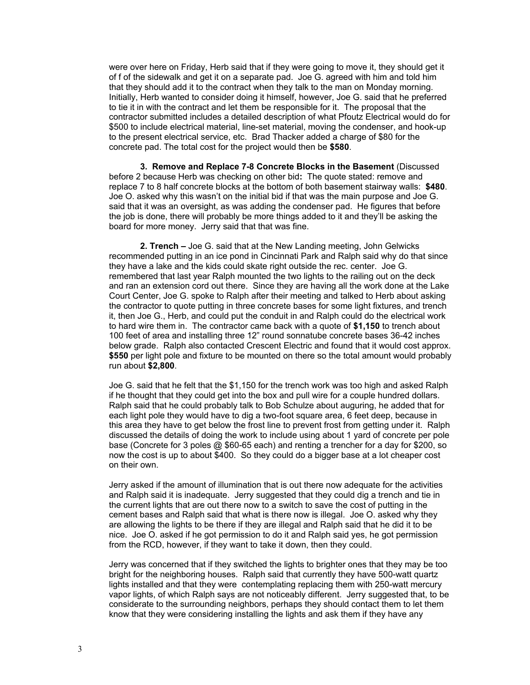were over here on Friday, Herb said that if they were going to move it, they should get it of f of the sidewalk and get it on a separate pad. Joe G. agreed with him and told him that they should add it to the contract when they talk to the man on Monday morning. Initially, Herb wanted to consider doing it himself, however, Joe G. said that he preferred to tie it in with the contract and let them be responsible for it. The proposal that the contractor submitted includes a detailed description of what Pfoutz Electrical would do for \$500 to include electrical material, line-set material, moving the condenser, and hook-up to the present electrical service, etc. Brad Thacker added a charge of \$80 for the concrete pad. The total cost for the project would then be **\$580**.

**3. Remove and Replace 7-8 Concrete Blocks in the Basement** (Discussed before 2 because Herb was checking on other bid**:** The quote stated: remove and replace 7 to 8 half concrete blocks at the bottom of both basement stairway walls: **\$480**. Joe O. asked why this wasn't on the initial bid if that was the main purpose and Joe G. said that it was an oversight, as was adding the condenser pad. He figures that before the job is done, there will probably be more things added to it and they'll be asking the board for more money. Jerry said that that was fine.

**2. Trench –** Joe G. said that at the New Landing meeting, John Gelwicks recommended putting in an ice pond in Cincinnati Park and Ralph said why do that since they have a lake and the kids could skate right outside the rec. center. Joe G. remembered that last year Ralph mounted the two lights to the railing out on the deck and ran an extension cord out there. Since they are having all the work done at the Lake Court Center, Joe G. spoke to Ralph after their meeting and talked to Herb about asking the contractor to quote putting in three concrete bases for some light fixtures, and trench it, then Joe G., Herb, and could put the conduit in and Ralph could do the electrical work to hard wire them in. The contractor came back with a quote of **\$1,150** to trench about 100 feet of area and installing three 12" round sonnatube concrete bases 36-42 inches below grade. Ralph also contacted Crescent Electric and found that it would cost approx. **\$550** per light pole and fixture to be mounted on there so the total amount would probably run about **\$2,800**.

Joe G. said that he felt that the \$1,150 for the trench work was too high and asked Ralph if he thought that they could get into the box and pull wire for a couple hundred dollars. Ralph said that he could probably talk to Bob Schulze about auguring, he added that for each light pole they would have to dig a two-foot square area, 6 feet deep, because in this area they have to get below the frost line to prevent frost from getting under it. Ralph discussed the details of doing the work to include using about 1 yard of concrete per pole base (Concrete for 3 poles @ \$60-65 each) and renting a trencher for a day for \$200, so now the cost is up to about \$400. So they could do a bigger base at a lot cheaper cost on their own.

Jerry asked if the amount of illumination that is out there now adequate for the activities and Ralph said it is inadequate. Jerry suggested that they could dig a trench and tie in the current lights that are out there now to a switch to save the cost of putting in the cement bases and Ralph said that what is there now is illegal. Joe O. asked why they are allowing the lights to be there if they are illegal and Ralph said that he did it to be nice. Joe O. asked if he got permission to do it and Ralph said yes, he got permission from the RCD, however, if they want to take it down, then they could.

Jerry was concerned that if they switched the lights to brighter ones that they may be too bright for the neighboring houses. Ralph said that currently they have 500-watt quartz lights installed and that they were contemplating replacing them with 250-watt mercury vapor lights, of which Ralph says are not noticeably different. Jerry suggested that, to be considerate to the surrounding neighbors, perhaps they should contact them to let them know that they were considering installing the lights and ask them if they have any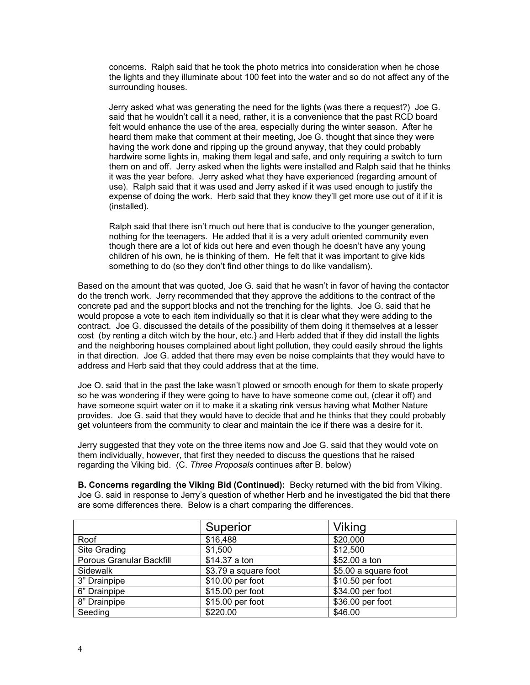concerns. Ralph said that he took the photo metrics into consideration when he chose the lights and they illuminate about 100 feet into the water and so do not affect any of the surrounding houses.

Jerry asked what was generating the need for the lights (was there a request?) Joe G. said that he wouldn't call it a need, rather, it is a convenience that the past RCD board felt would enhance the use of the area, especially during the winter season. After he heard them make that comment at their meeting, Joe G. thought that since they were having the work done and ripping up the ground anyway, that they could probably hardwire some lights in, making them legal and safe, and only requiring a switch to turn them on and off. Jerry asked when the lights were installed and Ralph said that he thinks it was the year before. Jerry asked what they have experienced (regarding amount of use). Ralph said that it was used and Jerry asked if it was used enough to justify the expense of doing the work. Herb said that they know they'll get more use out of it if it is (installed).

Ralph said that there isn't much out here that is conducive to the younger generation, nothing for the teenagers. He added that it is a very adult oriented community even though there are a lot of kids out here and even though he doesn't have any young children of his own, he is thinking of them. He felt that it was important to give kids something to do (so they don't find other things to do like vandalism).

Based on the amount that was quoted, Joe G. said that he wasn't in favor of having the contactor do the trench work. Jerry recommended that they approve the additions to the contract of the concrete pad and the support blocks and not the trenching for the lights. Joe G. said that he would propose a vote to each item individually so that it is clear what they were adding to the contract. Joe G. discussed the details of the possibility of them doing it themselves at a lesser cost (by renting a ditch witch by the hour, etc.} and Herb added that if they did install the lights and the neighboring houses complained about light pollution, they could easily shroud the lights in that direction. Joe G. added that there may even be noise complaints that they would have to address and Herb said that they could address that at the time.

Joe O. said that in the past the lake wasn't plowed or smooth enough for them to skate properly so he was wondering if they were going to have to have someone come out, (clear it off) and have someone squirt water on it to make it a skating rink versus having what Mother Nature provides. Joe G. said that they would have to decide that and he thinks that they could probably get volunteers from the community to clear and maintain the ice if there was a desire for it.

Jerry suggested that they vote on the three items now and Joe G. said that they would vote on them individually, however, that first they needed to discuss the questions that he raised regarding the Viking bid. (C. *Three Proposals* continues after B. below)

**B. Concerns regarding the Viking Bid (Continued):** Becky returned with the bid from Viking. Joe G. said in response to Jerry's question of whether Herb and he investigated the bid that there are some differences there. Below is a chart comparing the differences.

|                          | Superior             | Viking               |  |
|--------------------------|----------------------|----------------------|--|
| Roof                     | \$16,488             | \$20,000             |  |
| Site Grading             | \$1,500              | \$12,500             |  |
| Porous Granular Backfill | \$14.37 a ton        | \$52.00 a ton        |  |
| Sidewalk                 | \$3.79 a square foot | \$5.00 a square foot |  |
| 3" Drainpipe             | \$10.00 per foot     | \$10.50 per foot     |  |
| 6" Drainpipe             | \$15.00 per foot     | \$34.00 per foot     |  |
| 8" Drainpipe             | \$15.00 per foot     | \$36.00 per foot     |  |
| Seeding                  | \$220.00             | \$46.00              |  |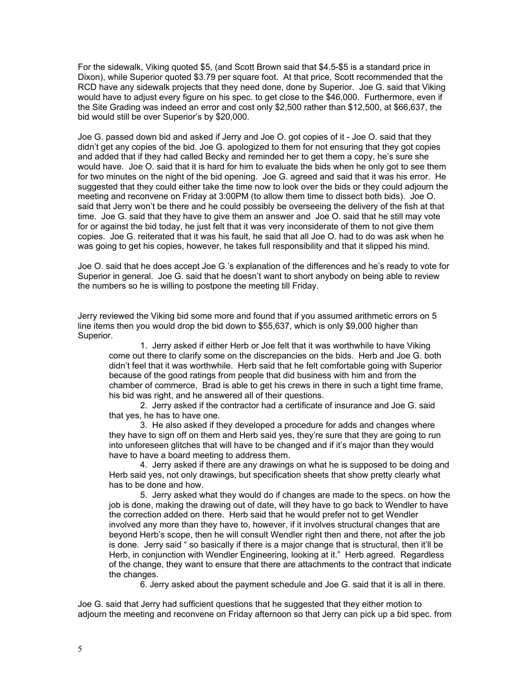For the sidewalk, Viking quoted \$5, (and Scott Brown said that \$4.5-\$5 is a standard price in Dixon), while Superior quoted \$3.79 per square foot. At that price, Scott recommended that the RCD have any sidewalk projects that they need done, done by Superior. Joe G. said that Viking would have to adjust every figure on his spec. to get close to the \$46,000. Furthermore, even if the Site Grading was indeed an error and cost only \$2,500 rather than \$12,500, at \$66,637, the bid would still be over Superior's by \$20,000.

Joe G. passed down bid and asked if Jerry and Joe O. got copies of it - Joe O. said that they didn't get any copies of the bid. Joe G. apologized to them for not ensuring that they got copies and added that if they had called Becky and reminded her to get them a copy, he's sure she would have. Joe O. said that it is hard for him to evaluate the bids when he only got to see them for two minutes on the night of the bid opening. Joe G. agreed and said that it was his error. He suggested that they could either take the time now to look over the bids or they could adjourn the meeting and reconvene on Friday at 3:00PM (to allow them time to dissect both bids). Joe O. said that Jerry won't be there and he could possibly be overseeing the delivery of the fish at that time. Joe G. said that they have to give them an answer and Joe O. said that he still may vote for or against the bid today, he just felt that it was very inconsiderate of them to not give them copies. Joe G. reiterated that it was his fault, he said that all Joe O. had to do was ask when he was going to get his copies, however, he takes full responsibility and that it slipped his mind.

Joe O. said that he does accept Joe G.'s explanation of the differences and he's ready to vote for Superior in general. Joe G. said that he doesn't want to short anybody on being able to review the numbers so he is willing to postpone the meeting till Friday.

Jerry reviewed the Viking bid some more and found that if you assumed arithmetic errors on 5 line items then you would drop the bid down to \$55,637, which is only \$9,000 higher than Superior.

1. Jerry asked if either Herb or Joe felt that it was worthwhile to have Viking come out there to clarify some on the discrepancies on the bids. Herb and Joe G. both didn't feel that it was worthwhile. Herb said that he felt comfortable going with Superior because of the good ratings from people that did business with him and from the chamber of commerce, Brad is able to get his crews in there in such a tight time frame, his bid was right, and he answered all of their questions.

2. Jerry asked if the contractor had a certificate of insurance and Joe G. said that yes, he has to have one.

3. He also asked if they developed a procedure for adds and changes where they have to sign off on them and Herb said yes, they're sure that they are going to run into unforeseen glitches that will have to be changed and if it's major than they would have to have a board meeting to address them.

4. Jerry asked if there are any drawings on what he is supposed to be doing and Herb said yes, not only drawings, but specification sheets that show pretty clearly what has to be done and how.

5. Jerry asked what they would do if changes are made to the specs. on how the job is done, making the drawing out of date, will they have to go back to Wendler to have the correction added on there. Herb said that he would prefer not to get Wendler involved any more than they have to, however, if it involves structural changes that are beyond Herb's scope, then he will consult Wendler right then and there, not after the job is done. Jerry said " so basically if there is a major change that is structural, then it'll be Herb, in conjunction with Wendler Engineering, looking at it." Herb agreed. Regardless of the change, they want to ensure that there are attachments to the contract that indicate the changes.

6. Jerry asked about the payment schedule and Joe G. said that it is all in there.

Joe G. said that Jerry had sufficient questions that he suggested that they either motion to adjourn the meeting and reconvene on Friday afternoon so that Jerry can pick up a bid spec. from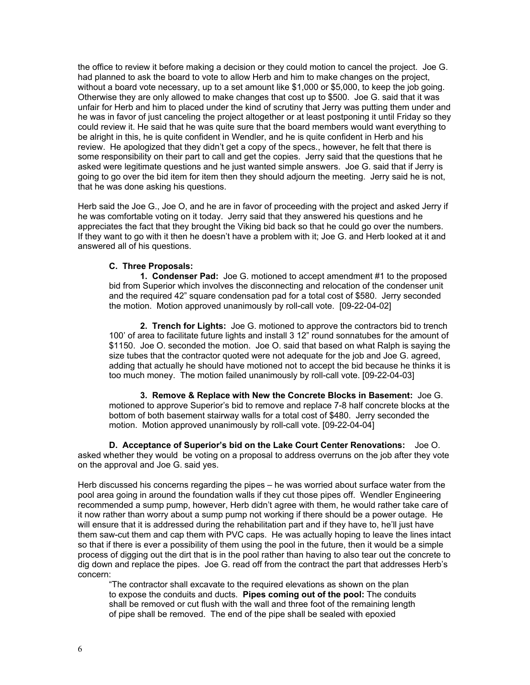the office to review it before making a decision or they could motion to cancel the project. Joe G. had planned to ask the board to vote to allow Herb and him to make changes on the project, without a board vote necessary, up to a set amount like \$1,000 or \$5,000, to keep the job going. Otherwise they are only allowed to make changes that cost up to \$500. Joe G. said that it was unfair for Herb and him to placed under the kind of scrutiny that Jerry was putting them under and he was in favor of just canceling the project altogether or at least postponing it until Friday so they could review it. He said that he was quite sure that the board members would want everything to be alright in this, he is quite confident in Wendler, and he is quite confident in Herb and his review. He apologized that they didn't get a copy of the specs., however, he felt that there is some responsibility on their part to call and get the copies. Jerry said that the questions that he asked were legitimate questions and he just wanted simple answers. Joe G. said that if Jerry is going to go over the bid item for item then they should adjourn the meeting. Jerry said he is not, that he was done asking his questions.

Herb said the Joe G., Joe O, and he are in favor of proceeding with the project and asked Jerry if he was comfortable voting on it today. Jerry said that they answered his questions and he appreciates the fact that they brought the Viking bid back so that he could go over the numbers. If they want to go with it then he doesn't have a problem with it; Joe G. and Herb looked at it and answered all of his questions.

### **C. Three Proposals:**

**1. Condenser Pad:** Joe G. motioned to accept amendment #1 to the proposed bid from Superior which involves the disconnecting and relocation of the condenser unit and the required 42" square condensation pad for a total cost of \$580. Jerry seconded the motion. Motion approved unanimously by roll-call vote. [09-22-04-02]

**2. Trench for Lights:** Joe G. motioned to approve the contractors bid to trench 100' of area to facilitate future lights and install 3 12" round sonnatubes for the amount of \$1150. Joe O. seconded the motion. Joe O. said that based on what Ralph is saying the size tubes that the contractor quoted were not adequate for the job and Joe G. agreed, adding that actually he should have motioned not to accept the bid because he thinks it is too much money. The motion failed unanimously by roll-call vote. [09-22-04-03]

**3. Remove & Replace with New the Concrete Blocks in Basement:** Joe G. motioned to approve Superior's bid to remove and replace 7-8 half concrete blocks at the bottom of both basement stairway walls for a total cost of \$480. Jerry seconded the motion. Motion approved unanimously by roll-call vote. [09-22-04-04]

**D. Acceptance of Superior's bid on the Lake Court Center Renovations:** Joe O. asked whether they would be voting on a proposal to address overruns on the job after they vote on the approval and Joe G. said yes.

Herb discussed his concerns regarding the pipes – he was worried about surface water from the pool area going in around the foundation walls if they cut those pipes off. Wendler Engineering recommended a sump pump, however, Herb didn't agree with them, he would rather take care of it now rather than worry about a sump pump not working if there should be a power outage. He will ensure that it is addressed during the rehabilitation part and if they have to, he'll just have them saw-cut them and cap them with PVC caps. He was actually hoping to leave the lines intact so that if there is ever a possibility of them using the pool in the future, then it would be a simple process of digging out the dirt that is in the pool rather than having to also tear out the concrete to dig down and replace the pipes. Joe G. read off from the contract the part that addresses Herb's concern:

"The contractor shall excavate to the required elevations as shown on the plan to expose the conduits and ducts. **Pipes coming out of the pool:** The conduits shall be removed or cut flush with the wall and three foot of the remaining length of pipe shall be removed. The end of the pipe shall be sealed with epoxied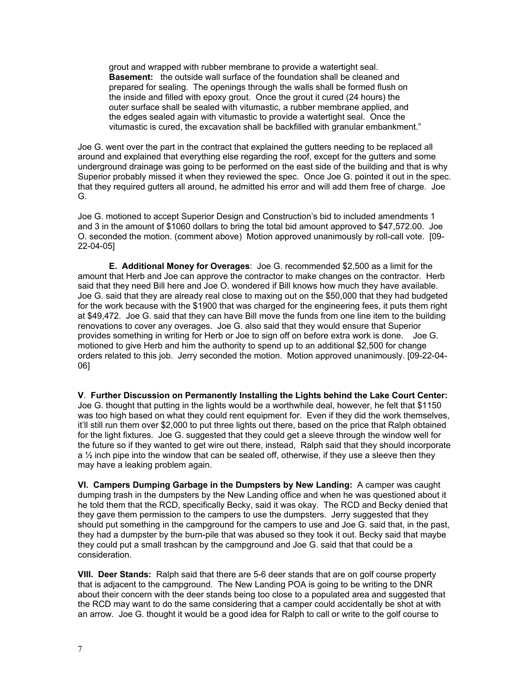grout and wrapped with rubber membrane to provide a watertight seal. **Basement:** the outside wall surface of the foundation shall be cleaned and prepared for sealing. The openings through the walls shall be formed flush on the inside and filled with epoxy grout. Once the grout it cured (24 hours) the outer surface shall be sealed with vitumastic, a rubber membrane applied, and the edges sealed again with vitumastic to provide a watertight seal. Once the vitumastic is cured, the excavation shall be backfilled with granular embankment."

Joe G. went over the part in the contract that explained the gutters needing to be replaced all around and explained that everything else regarding the roof, except for the gutters and some underground drainage was going to be performed on the east side of the building and that is why Superior probably missed it when they reviewed the spec. Once Joe G. pointed it out in the spec. that they required gutters all around, he admitted his error and will add them free of charge. Joe G.

Joe G. motioned to accept Superior Design and Construction's bid to included amendments 1 and 3 in the amount of \$1060 dollars to bring the total bid amount approved to \$47,572.00. Joe O. seconded the motion. (comment above) Motion approved unanimously by roll-call vote. [09- 22-04-05]

**E. Additional Money for Overages**: Joe G. recommended \$2,500 as a limit for the amount that Herb and Joe can approve the contractor to make changes on the contractor. Herb said that they need Bill here and Joe O. wondered if Bill knows how much they have available. Joe G. said that they are already real close to maxing out on the \$50,000 that they had budgeted for the work because with the \$1900 that was charged for the engineering fees, it puts them right at \$49,472. Joe G. said that they can have Bill move the funds from one line item to the building renovations to cover any overages. Joe G. also said that they would ensure that Superior provides something in writing for Herb or Joe to sign off on before extra work is done. Joe G. motioned to give Herb and him the authority to spend up to an additional \$2,500 for change orders related to this job. Jerry seconded the motion. Motion approved unanimously. [09-22-04- 06]

**V**. **Further Discussion on Permanently Installing the Lights behind the Lake Court Center:**  Joe G. thought that putting in the lights would be a worthwhile deal, however, he felt that \$1150 was too high based on what they could rent equipment for. Even if they did the work themselves, it'll still run them over \$2,000 to put three lights out there, based on the price that Ralph obtained for the light fixtures. Joe G. suggested that they could get a sleeve through the window well for the future so if they wanted to get wire out there, instead, Ralph said that they should incorporate a  $\frac{1}{2}$  inch pipe into the window that can be sealed off, otherwise, if they use a sleeve then they may have a leaking problem again.

**VI. Campers Dumping Garbage in the Dumpsters by New Landing:** A camper was caught dumping trash in the dumpsters by the New Landing office and when he was questioned about it he told them that the RCD, specifically Becky, said it was okay. The RCD and Becky denied that they gave them permission to the campers to use the dumpsters. Jerry suggested that they should put something in the campground for the campers to use and Joe G. said that, in the past, they had a dumpster by the burn-pile that was abused so they took it out. Becky said that maybe they could put a small trashcan by the campground and Joe G. said that that could be a consideration.

**VIII. Deer Stands:** Ralph said that there are 5-6 deer stands that are on golf course property that is adjacent to the campground. The New Landing POA is going to be writing to the DNR about their concern with the deer stands being too close to a populated area and suggested that the RCD may want to do the same considering that a camper could accidentally be shot at with an arrow. Joe G. thought it would be a good idea for Ralph to call or write to the golf course to